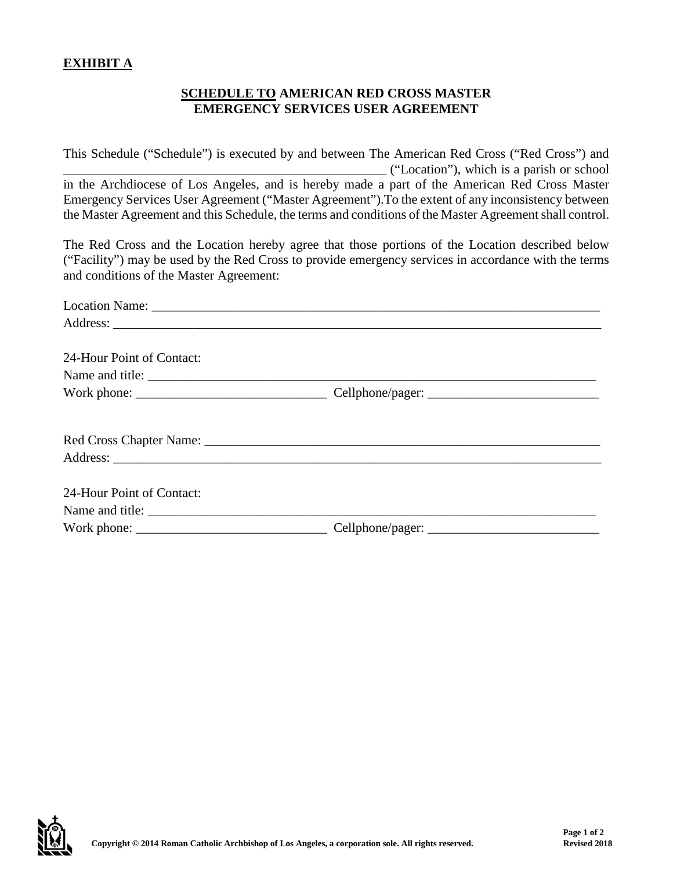## **EXHIBIT A**

## **SCHEDULE TO AMERICAN RED CROSS MASTER EMERGENCY SERVICES USER AGREEMENT**

This Schedule ("Schedule") is executed by and between The American Red Cross ("Red Cross") and \_\_\_\_\_\_\_\_\_\_\_\_\_\_\_\_\_\_\_\_\_\_\_\_\_\_\_\_\_\_\_\_\_\_\_\_\_\_\_\_\_\_\_\_\_\_\_\_\_ ("Location"), which is a parish or school in the Archdiocese of Los Angeles, and is hereby made a part of the American Red Cross Master Emergency Services User Agreement ("Master Agreement").To the extent of any inconsistency between the Master Agreement and this Schedule, the terms and conditions of the Master Agreement shall control.

The Red Cross and the Location hereby agree that those portions of the Location described below ("Facility") may be used by the Red Cross to provide emergency services in accordance with the terms and conditions of the Master Agreement:

| 24-Hour Point of Contact: |  |  |
|---------------------------|--|--|
| Name and title:           |  |  |
|                           |  |  |
|                           |  |  |
|                           |  |  |
|                           |  |  |
| 24-Hour Point of Contact: |  |  |
|                           |  |  |
|                           |  |  |